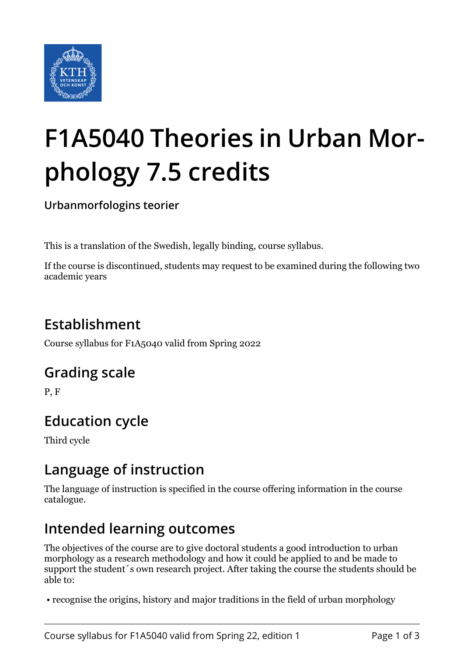

# **F1A5040 Theories in Urban Morphology 7.5 credits**

**Urbanmorfologins teorier**

This is a translation of the Swedish, legally binding, course syllabus.

If the course is discontinued, students may request to be examined during the following two academic years

# **Establishment**

Course syllabus for F1A5040 valid from Spring 2022

#### **Grading scale**

P, F

# **Education cycle**

Third cycle

#### **Language of instruction**

The language of instruction is specified in the course offering information in the course catalogue.

#### **Intended learning outcomes**

The objectives of the course are to give doctoral students a good introduction to urban morphology as a research methodology and how it could be applied to and be made to support the student´s own research project. After taking the course the students should be able to:

• recognise the origins, history and major traditions in the field of urban morphology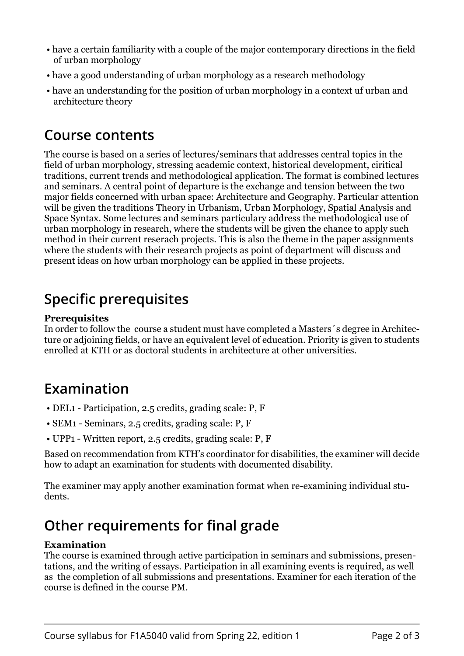- have a certain familiarity with a couple of the major contemporary directions in the field of urban morphology
- have a good understanding of urban morphology as a research methodology
- have an understanding for the position of urban morphology in a context uf urban and architecture theory

#### **Course contents**

The course is based on a series of lectures/seminars that addresses central topics in the field of urban morphology, stressing academic context, historical development, ciritical traditions, current trends and methodological application. The format is combined lectures and seminars. A central point of departure is the exchange and tension between the two major fields concerned with urban space: Architecture and Geography. Particular attention will be given the traditions Theory in Urbanism, Urban Morphology, Spatial Analysis and Space Syntax. Some lectures and seminars particulary address the methodological use of urban morphology in research, where the students will be given the chance to apply such method in their current reserach projects. This is also the theme in the paper assignments where the students with their research projects as point of department will discuss and present ideas on how urban morphology can be applied in these projects.

### **Specific prerequisites**

#### **Prerequisites**

In order to follow the course a student must have completed a Masters´s degree in Architecture or adjoining fields, or have an equivalent level of education. Priority is given to students enrolled at KTH or as doctoral students in architecture at other universities.

#### **Examination**

- DEL1 Participation, 2.5 credits, grading scale: P, F
- SEM1 Seminars, 2.5 credits, grading scale: P, F
- UPP1 Written report, 2.5 credits, grading scale: P, F

Based on recommendation from KTH's coordinator for disabilities, the examiner will decide how to adapt an examination for students with documented disability.

The examiner may apply another examination format when re-examining individual students.

## **Other requirements for final grade**

#### **Examination**

The course is examined through active participation in seminars and submissions, presentations, and the writing of essays. Participation in all examining events is required, as well as the completion of all submissions and presentations. Examiner for each iteration of the course is defined in the course PM.